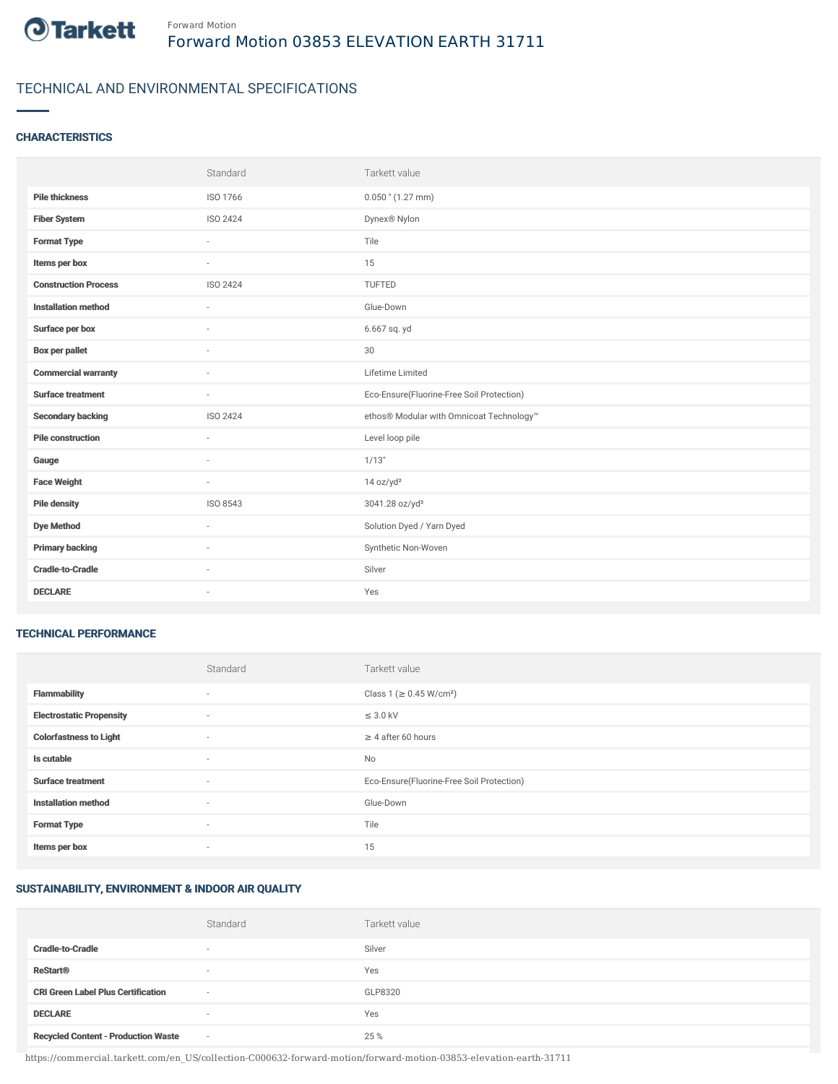

## TECHNICAL AND ENVIRONMENTAL SPECIFICATIONS

#### **CHARACTERISTICS**

|                             | Standard                 | Tarkett value                             |
|-----------------------------|--------------------------|-------------------------------------------|
| <b>Pile thickness</b>       | ISO 1766                 | $0.050$ " (1.27 mm)                       |
| <b>Fiber System</b>         | ISO 2424                 | Dynex® Nylon                              |
| <b>Format Type</b>          |                          | Tile                                      |
| Items per box               | $\sim$                   | 15                                        |
| <b>Construction Process</b> | ISO 2424                 | <b>TUFTED</b>                             |
| <b>Installation method</b>  | $\sim$                   | Glue-Down                                 |
| Surface per box             | $\sim$                   | 6.667 sq. yd                              |
| <b>Box per pallet</b>       | $\overline{\phantom{a}}$ | $30\,$                                    |
| <b>Commercial warranty</b>  | $\sim$                   | Lifetime Limited                          |
| <b>Surface treatment</b>    | $\sim$                   | Eco-Ensure(Fluorine-Free Soil Protection) |
| <b>Secondary backing</b>    | ISO 2424                 | ethos® Modular with Omnicoat Technology™  |
| <b>Pile construction</b>    | $\sim$                   | Level loop pile                           |
| Gauge                       | $\sim$                   | 1/13"                                     |
| <b>Face Weight</b>          | $\sim$                   | 14 oz/yd <sup>2</sup>                     |
| <b>Pile density</b>         | ISO 8543                 | 3041.28 oz/yd <sup>3</sup>                |
| <b>Dye Method</b>           | $\overline{\phantom{a}}$ | Solution Dyed / Yarn Dyed                 |
| <b>Primary backing</b>      | $\sim$                   | Synthetic Non-Woven                       |
| <b>Cradle-to-Cradle</b>     |                          | Silver                                    |
| <b>DECLARE</b>              | $\sim$                   | Yes                                       |

#### TECHNICAL PERFORMANCE

|                                 | Standard                 | Tarkett value                             |
|---------------------------------|--------------------------|-------------------------------------------|
| <b>Flammability</b>             | ٠                        | Class 1 (≥ 0.45 W/cm <sup>2</sup> )       |
| <b>Electrostatic Propensity</b> | $\sim$                   | $\leq$ 3.0 kV                             |
| <b>Colorfastness to Light</b>   | ٠                        | $\geq 4$ after 60 hours                   |
| Is cutable                      | ٠                        | No                                        |
| <b>Surface treatment</b>        | $\sim$                   | Eco-Ensure(Fluorine-Free Soil Protection) |
| <b>Installation method</b>      | ٠                        | Glue-Down                                 |
| <b>Format Type</b>              | ٠                        | Tile                                      |
| Items per box                   | $\overline{\phantom{a}}$ | 15                                        |

### SUSTAINABILITY, ENVIRONMENT & INDOOR AIR QUALITY

|                                            | Standard                 | Tarkett value |
|--------------------------------------------|--------------------------|---------------|
| <b>Cradle-to-Cradle</b>                    | $\overline{\phantom{a}}$ | Silver        |
| <b>ReStart®</b>                            | $\overline{\phantom{a}}$ | Yes           |
| <b>CRI Green Label Plus Certification</b>  | $\sim$                   | GLP8320       |
| <b>DECLARE</b>                             | $\sim$                   | Yes           |
| <b>Recycled Content - Production Waste</b> | $\sim$                   | 25 %          |

https://commercial.tarkett.com/en\_US/collection-C000632-forward-motion/forward-motion-03853-elevation-earth-31711